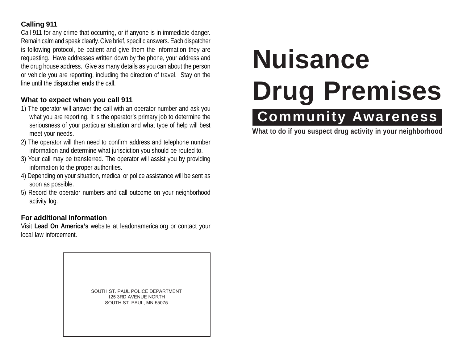#### **Calling 911**

Call 911 for any crime that occurring, or if anyone is in immediate danger. Remain calm and speak clearly. Give brief, specific answers. Each dispatcher is following protocol, be patient and give them the information they are requesting. Have addresses written down by the phone, your address and the drug house address. Give as many details as you can about the person or vehicle you are reporting, including the direction of travel. Stay on the line until the dispatcher ends the call.

#### **What to expect when you call 911**

- 1) The operator will answer the call with an operator number and ask you what you are reporting. It is the operator's primary job to determine the seriousness of your particular situation and what type of help will best meet your needs.
- 2) The operator will then need to confirm address and telephone number information and determine what jurisdiction you should be routed to.
- 3) Your call may be transferred. The operator will assist you by providing information to the proper authorities.
- 4) Depending on your situation, medical or police assistance will be sent as soon as possible.
- 5) Record the operator numbers and call outcome on your neighborhood activity log.

#### **For additional information**

Visit **Lead On America's** website at leadonamerica.org or contact your local law inforcement.



# **Nuisance Drug Premises**

## **Community Awareness**

**What to do if you suspect drug activity in your neighborhood**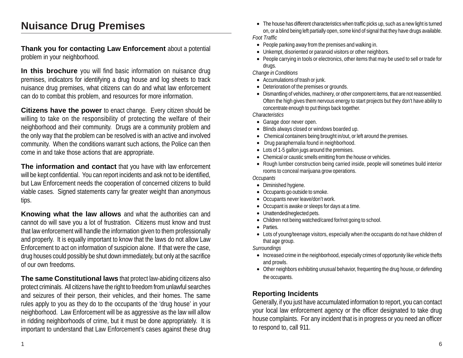### **Nuisance Drug Premises**

#### **Thank you for contacting Law Enforcement** about a potential problem in your neighborhood.

**In this brochure** you will find basic information on nuisance drug premises, indicators for identifying a drug house and log sheets to track nuisance drug premises, what citizens can do and what law enforcement can do to combat this problem, and resources for more information.

**Citizens have the power** to enact change. Every citizen should be willing to take on the responsibility of protecting the welfare of their neighborhood and their community. Drugs are a community problem and the only way that the problem can be resolved is with an active and involved community. When the conditions warrant such actions, the Police can then come in and take those actions that are appropriate.

**The information and contact** that you have with law enforcement will be kept confidential. You can report incidents and ask not to be identified, but Law Enforcement needs the cooperation of concerned citizens to build viable cases. Signed statements carry far greater weight than anonymous tips.

**Knowing what the law allows** and what the authorities can and cannot do will save you a lot of frustration. Citizens must know and trust that law enforcement will handle the information given to them professionally and properly. It is equally important to know that the laws do not allow Law Enforcement to act on information of suspicion alone. If that were the case, drug houses could possibly be shut down immediately, but only at the sacrifice of our own freedoms.

**The same Constitutional laws** that protect law-abiding citizens also protect criminals. All citizens have the right to freedom from unlawful searches and seizures of their person, their vehicles, and their homes. The same rules apply to you as they do to the occupants of the 'drug house' in your neighborhood. Law Enforcement will be as aggressive as the law will allow in ridding neighborhoods of crime, but it must be done appropriately. It is important to understand that Law Enforcement's cases against these drug

- The house has different characteristics when traffic picks up, such as a new light is turned on, or a blind being left partially open, some kind of signal that they have drugs available. *Foot Traffic*
- People parking away from the premises and walking in.
- Unkempt, disoriented or paranoid visitors or other neighbors.
- People carrying in tools or electronics, other items that may be used to sell or trade for drugs.

*Change in Conditions*

- Accumulations of trash or junk.
- Deterioration of the premises or grounds.
- Dismantling of vehicles, machinery, or other component items, that are not reassembled. Often the high gives them nervous energy to start projects but they don't have ability to concentrate enough to put things back together.

*Characteristics*

- Garage door never open.
- Blinds always closed or windows boarded up.
- Chemical containers being brought in/out, or left around the premises.
- Drug paraphernalia found in neighborhood.
- Lots of 1-5 gallon jugs around the premises.
- Chemical or caustic smells emitting from the house or vehicles.
- Rough lumber construction being carried inside, people will sometimes build interior rooms to conceal marijuana grow operations.

*Occupants*

- Diminished hygiene.
- Occupants go outside to smoke.
- Occupants never leave/don't work.
- Occupant is awake or sleeps for days at a time.
- Unattended/neglected pets.
- Children not being watched/cared for/not going to school.
- Parties.
- Lots of young/teenage visitors, especially when the occupants do not have children of that age group.

*Surroundings*

- Increased crime in the neighborhood, especially crimes of opportunity like vehicle thefts and prowls.
- Other neighbors exhibiting unusual behavior, frequenting the drug house, or defending the occupants.

#### **Reporting Incidents**

Generally, if you just have accumulated information to report, you can contact your local law enforcement agency or the officer designated to take drug house complaints. For any incident that is in progress or you need an officer to respond to, call 911.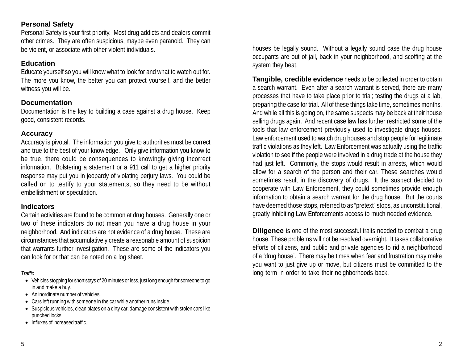#### **Personal Safety**

Personal Safety is your first priority. Most drug addicts and dealers commit other crimes. They are often suspicious, maybe even paranoid. They can be violent, or associate with other violent individuals.

#### **Education**

Educate yourself so you will know what to look for and what to watch out for. The more you know, the better you can protect yourself, and the better witness you will be.

#### **Documentation**

Documentation is the key to building a case against a drug house. Keep good, consistent records.

#### **Accuracy**

Accuracy is pivotal. The information you give to authorities must be correct and true to the best of your knowledge. Only give information you know to be true, there could be consequences to knowingly giving incorrect information. Bolstering a statement or a 911 call to get a higher priority response may put you in jeopardy of violating perjury laws. You could be called on to testify to your statements, so they need to be without embellishment or speculation.

#### **Indicators**

Certain activities are found to be common at drug houses. Generally one or two of these indicators do not mean you have a drug house in your neighborhood. And indicators are not evidence of a drug house. These are circumstances that accumulatively create a reasonable amount of suspicion that warrants further investigation. These are some of the indicators you can look for or that can be noted on a log sheet.

#### *Traffic*

- Vehicles stopping for short stays of 20 minutes or less, just long enough for someone to go in and make a buy.
- An inordinate number of vehicles
- Cars left running with someone in the car while another runs inside.
- Suspicious vehicles, clean plates on a dirty car, damage consistent with stolen cars like punched locks.
- Influxes of increased traffic

houses be legally sound. Without a legally sound case the drug house occupants are out of jail, back in your neighborhood, and scoffing at the system they beat.

**Tangible, credible evidence** needs to be collected in order to obtain a search warrant. Even after a search warrant is served, there are many processes that have to take place prior to trial; testing the drugs at a lab, preparing the case for trial. All of these things take time, sometimes months. And while all this is going on, the same suspects may be back at their house selling drugs again. And recent case law has further restricted some of the tools that law enforcement previously used to investigate drugs houses. Law enforcement used to watch drug houses and stop people for legitimate traffic violations as they left. Law Enforcement was actually using the traffic violation to see if the people were involved in a drug trade at the house they had just left. Commonly, the stops would result in arrests, which would allow for a search of the person and their car. These searches would sometimes result in the discovery of drugs. It the suspect decided to cooperate with Law Enforcement, they could sometimes provide enough information to obtain a search warrant for the drug house. But the courts have deemed those stops, referred to as "pretext" stops, as unconstitutional, greatly inhibiting Law Enforcements access to much needed evidence.

**Diligence** is one of the most successful traits needed to combat a drug house. These problems will not be resolved overnight. It takes collaborative efforts of citizens, and public and private agencies to rid a neighborhood of a 'drug house'. There may be times when fear and frustration may make you want to just give up or move, but citizens must be committed to the long term in order to take their neighborhoods back.